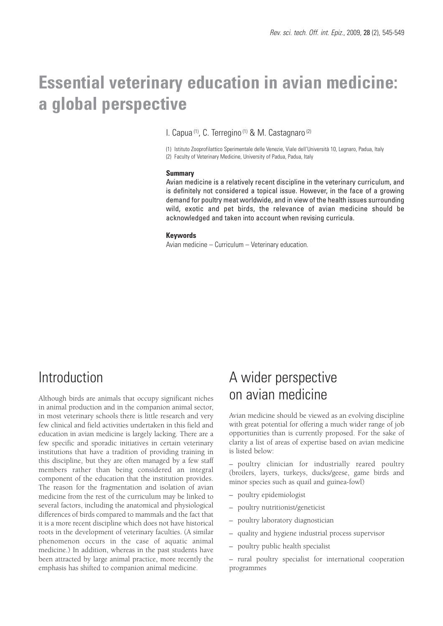# **Essential veterinary education in avian medicine: a global perspective**

I. Capua (1), C. Terregino (1) & M. Castagnaro (2)

(1) Istituto Zooprofilattico Sperimentale delle Venezie, Viale dell'Università 10, Legnaro, Padua, Italy (2) Faculty of Veterinary Medicine, University of Padua, Padua, Italy

#### **Summary**

Avian medicine is a relatively recent discipline in the veterinary curriculum, and is definitely not considered a topical issue. However, in the face of a growing demand for poultry meat worldwide, and in view of the health issues surrounding wild, exotic and pet birds, the relevance of avian medicine should be acknowledged and taken into account when revising curricula.

#### **Keywords**

Avian medicine – Curriculum – Veterinary education.

## **Introduction**

Although birds are animals that occupy significant niches in animal production and in the companion animal sector, in most veterinary schools there is little research and very few clinical and field activities undertaken in this field and education in avian medicine is largely lacking. There are a few specific and sporadic initiatives in certain veterinary institutions that have a tradition of providing training in this discipline, but they are often managed by a few staff members rather than being considered an integral component of the education that the institution provides. The reason for the fragmentation and isolation of avian medicine from the rest of the curriculum may be linked to several factors, including the anatomical and physiological differences of birds compared to mammals and the fact that it is a more recent discipline which does not have historical roots in the development of veterinary faculties. (A similar phenomenon occurs in the case of aquatic animal medicine.) In addition, whereas in the past students have been attracted by large animal practice, more recently the emphasis has shifted to companion animal medicine.

# A wider perspective on avian medicine

Avian medicine should be viewed as an evolving discipline with great potential for offering a much wider range of job opportunities than is currently proposed. For the sake of clarity a list of areas of expertise based on avian medicine is listed below:

– poultry clinician for industrially reared poultry (broilers, layers, turkeys, ducks/geese, game birds and minor species such as quail and guinea-fowl)

- poultry epidemiologist
- poultry nutritionist/geneticist
- poultry laboratory diagnostician
- quality and hygiene industrial process supervisor
- poultry public health specialist

– rural poultry specialist for international cooperation programmes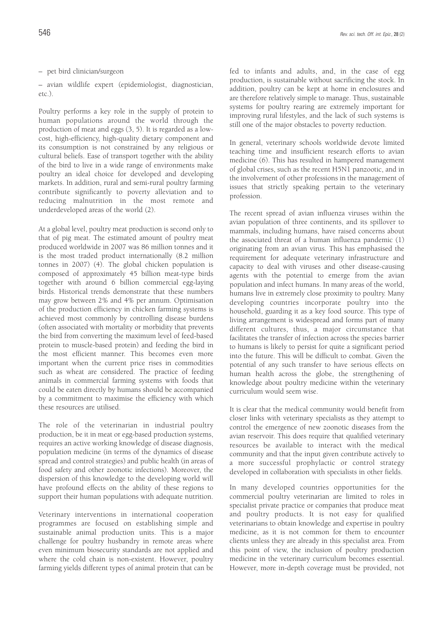– pet bird clinician/surgeon

– avian wildlife expert (epidemiologist, diagnostician, etc.).

Poultry performs a key role in the supply of protein to human populations around the world through the production of meat and eggs (3, 5). It is regarded as a lowcost, high-efficiency, high-quality dietary component and its consumption is not constrained by any religious or cultural beliefs. Ease of transport together with the ability of the bird to live in a wide range of environments make poultry an ideal choice for developed and developing markets. In addition, rural and semi-rural poultry farming contribute significantly to poverty alleviation and to reducing malnutrition in the most remote and underdeveloped areas of the world (2).

At a global level, poultry meat production is second only to that of pig meat. The estimated amount of poultry meat produced worldwide in 2007 was 86 million tonnes and it is the most traded product internationally (8.2 million tonnes in 2007) (4). The global chicken population is composed of approximately 45 billion meat-type birds together with around 6 billion commercial egg-laying birds. Historical trends demonstrate that these numbers may grow between 2% and 4% per annum. Optimisation of the production efficiency in chicken farming systems is achieved most commonly by controlling disease burdens (often associated with mortality or morbidity that prevents the bird from converting the maximum level of feed-based protein to muscle-based protein) and feeding the bird in the most efficient manner. This becomes even more important when the current price rises in commodities such as wheat are considered. The practice of feeding animals in commercial farming systems with foods that could be eaten directly by humans should be accompanied by a commitment to maximise the efficiency with which these resources are utilised.

The role of the veterinarian in industrial poultry production, be it in meat or egg-based production systems, requires an active working knowledge of disease diagnosis, population medicine (in terms of the dynamics of disease spread and control strategies) and public health (in areas of food safety and other zoonotic infections). Moreover, the dispersion of this knowledge to the developing world will have profound effects on the ability of these regions to support their human populations with adequate nutrition.

Veterinary interventions in international cooperation programmes are focused on establishing simple and sustainable animal production units. This is a major challenge for poultry husbandry in remote areas where even minimum biosecurity standards are not applied and where the cold chain is non-existent. However, poultry farming yields different types of animal protein that can be

fed to infants and adults, and, in the case of egg production, is sustainable without sacrificing the stock. In addition, poultry can be kept at home in enclosures and are therefore relatively simple to manage. Thus, sustainable systems for poultry rearing are extremely important for improving rural lifestyles, and the lack of such systems is still one of the major obstacles to poverty reduction.

In general, veterinary schools worldwide devote limited teaching time and insufficient research efforts to avian medicine (6). This has resulted in hampered management of global crises, such as the recent H5N1 panzootic, and in the involvement of other professions in the management of issues that strictly speaking pertain to the veterinary profession.

The recent spread of avian influenza viruses within the avian population of three continents, and its spillover to mammals, including humans, have raised concerns about the associated threat of a human influenza pandemic (1) originating from an avian virus. This has emphasised the requirement for adequate veterinary infrastructure and capacity to deal with viruses and other disease-causing agents with the potential to emerge from the avian population and infect humans. In many areas of the world, humans live in extremely close proximity to poultry. Many developing countries incorporate poultry into the household, guarding it as a key food source. This type of living arrangement is widespread and forms part of many different cultures, thus, a major circumstance that facilitates the transfer of infection across the species barrier to humans is likely to persist for quite a significant period into the future. This will be difficult to combat. Given the potential of any such transfer to have serious effects on human health across the globe, the strengthening of knowledge about poultry medicine within the veterinary curriculum would seem wise.

It is clear that the medical community would benefit from closer links with veterinary specialists as they attempt to control the emergence of new zoonotic diseases from the avian reservoir. This does require that qualified veterinary resources be available to interact with the medical community and that the input given contribute actively to a more successful prophylactic or control strategy developed in collaboration with specialists in other fields.

In many developed countries opportunities for the commercial poultry veterinarian are limited to roles in specialist private practice or companies that produce meat and poultry products. It is not easy for qualified veterinarians to obtain knowledge and expertise in poultry medicine, as it is not common for them to encounter clients unless they are already in this specialist area. From this point of view, the inclusion of poultry production medicine in the veterinary curriculum becomes essential. However, more in-depth coverage must be provided, not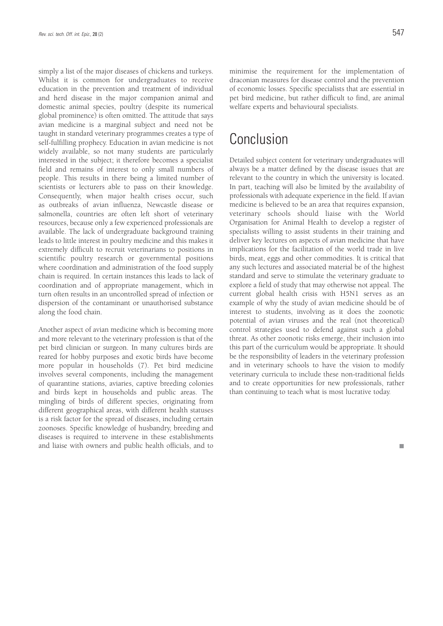simply a list of the major diseases of chickens and turkeys. Whilst it is common for undergraduates to receive education in the prevention and treatment of individual and herd disease in the major companion animal and domestic animal species, poultry (despite its numerical global prominence) is often omitted. The attitude that says avian medicine is a marginal subject and need not be taught in standard veterinary programmes creates a type of self-fulfilling prophecy. Education in avian medicine is not widely available, so not many students are particularly interested in the subject; it therefore becomes a specialist field and remains of interest to only small numbers of people. This results in there being a limited number of scientists or lecturers able to pass on their knowledge. Consequently, when major health crises occur, such as outbreaks of avian influenza, Newcastle disease or salmonella, countries are often left short of veterinary resources, because only a few experienced professionals are available. The lack of undergraduate background training leads to little interest in poultry medicine and this makes it extremely difficult to recruit veterinarians to positions in scientific poultry research or governmental positions where coordination and administration of the food supply chain is required. In certain instances this leads to lack of coordination and of appropriate management, which in turn often results in an uncontrolled spread of infection or dispersion of the contaminant or unauthorised substance along the food chain.

Another aspect of avian medicine which is becoming more and more relevant to the veterinary profession is that of the pet bird clinician or surgeon. In many cultures birds are reared for hobby purposes and exotic birds have become more popular in households (7). Pet bird medicine involves several components, including the management of quarantine stations, aviaries, captive breeding colonies and birds kept in households and public areas. The mingling of birds of different species, originating from different geographical areas, with different health statuses is a risk factor for the spread of diseases, including certain zoonoses. Specific knowledge of husbandry, breeding and diseases is required to intervene in these establishments and liaise with owners and public health officials, and to minimise the requirement for the implementation of draconian measures for disease control and the prevention of economic losses. Specific specialists that are essential in pet bird medicine, but rather difficult to find, are animal welfare experts and behavioural specialists.

# Conclusion

Detailed subject content for veterinary undergraduates will always be a matter defined by the disease issues that are relevant to the country in which the university is located. In part, teaching will also be limited by the availability of professionals with adequate experience in the field. If avian medicine is believed to be an area that requires expansion. veterinary schools should liaise with the World Organisation for Animal Health to develop a register of specialists willing to assist students in their training and deliver key lectures on aspects of avian medicine that have implications for the facilitation of the world trade in live birds, meat, eggs and other commodities. It is critical that any such lectures and associated material be of the highest standard and serve to stimulate the veterinary graduate to explore a field of study that may otherwise not appeal. The current global health crisis with H5N1 serves as an example of why the study of avian medicine should be of interest to students, involving as it does the zoonotic potential of avian viruses and the real (not theoretical) control strategies used to defend against such a global threat. As other zoonotic risks emerge, their inclusion into this part of the curriculum would be appropriate. It should be the responsibility of leaders in the veterinary profession and in veterinary schools to have the vision to modify veterinary curricula to include these non-traditional fields and to create opportunities for new professionals, rather than continuing to teach what is most lucrative today.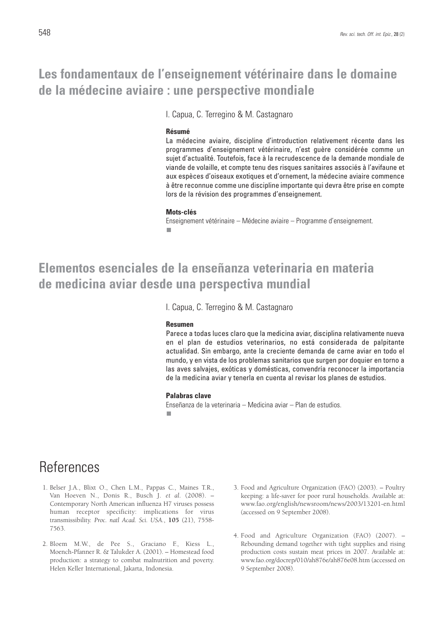# **Les fondamentaux de l'enseignement vétérinaire dans le domaine de la médecine aviaire : une perspective mondiale**

I. Capua, C. Terregino & M. Castagnaro

#### **Résumé**

La médecine aviaire, discipline d'introduction relativement récente dans les programmes d'enseignement vétérinaire, n'est guère considérée comme un sujet d'actualité. Toutefois, face à la recrudescence de la demande mondiale de viande de volaille, et compte tenu des risques sanitaires associés à l'avifaune et aux espèces d'oiseaux exotiques et d'ornement, la médecine aviaire commence à être reconnue comme une discipline importante qui devra être prise en compte lors de la révision des programmes d'enseignement.

#### **Mots-clés**

Enseignement vétérinaire – Médecine aviaire – Programme d'enseignement. ۳

## **Elementos esenciales de la enseñanza veterinaria en materia de medicina aviar desde una perspectiva mundial**

I. Capua, C. Terregino & M. Castagnaro

#### **Resumen**

Parece a todas luces claro que la medicina aviar, disciplina relativamente nueva en el plan de estudios veterinarios, no está considerada de palpitante actualidad. Sin embargo, ante la creciente demanda de carne aviar en todo el mundo, y en vista de los problemas sanitarios que surgen por doquier en torno a las aves salvajes, exóticas y domésticas, convendría reconocer la importancia de la medicina aviar y tenerla en cuenta al revisar los planes de estudios.

#### **Palabras clave**

Enseñanza de la veterinaria – Medicina aviar – Plan de estudios.٠

## References

- 1. Belser J.A., Blixt O., Chen L.M., Pappas C., Maines T.R., Van Hoeven N., Donis R., Busch J. *et al.* (2008). – Contemporary North American influenza H7 viruses possess human receptor specificity: implications for virus transmissibility. *Proc. natl Acad. Sci. USA.*, **105** (21), 7558- 7563.
- 2. Bloem M.W., de Pee S., Graciano F., Kiess L., Moench-Pfanner R. & Talukder A. (2001). – Homestead food production: a strategy to combat malnutrition and poverty. Helen Keller International, Jakarta, Indonesia.
- 3. Food and Agriculture Organization (FAO) (2003). Poultry keeping: a life-saver for poor rural households. Available at: www.fao.org/english/newsroom/news/2003/13201-en.html (accessed on 9 September 2008).
- 4. Food and Agriculture Organization (FAO) (2007). Rebounding demand together with tight supplies and rising production costs sustain meat prices in 2007. Available at: www.fao.org/docrep/010/ah876e/ah876e08.htm (accessed on 9 September 2008).